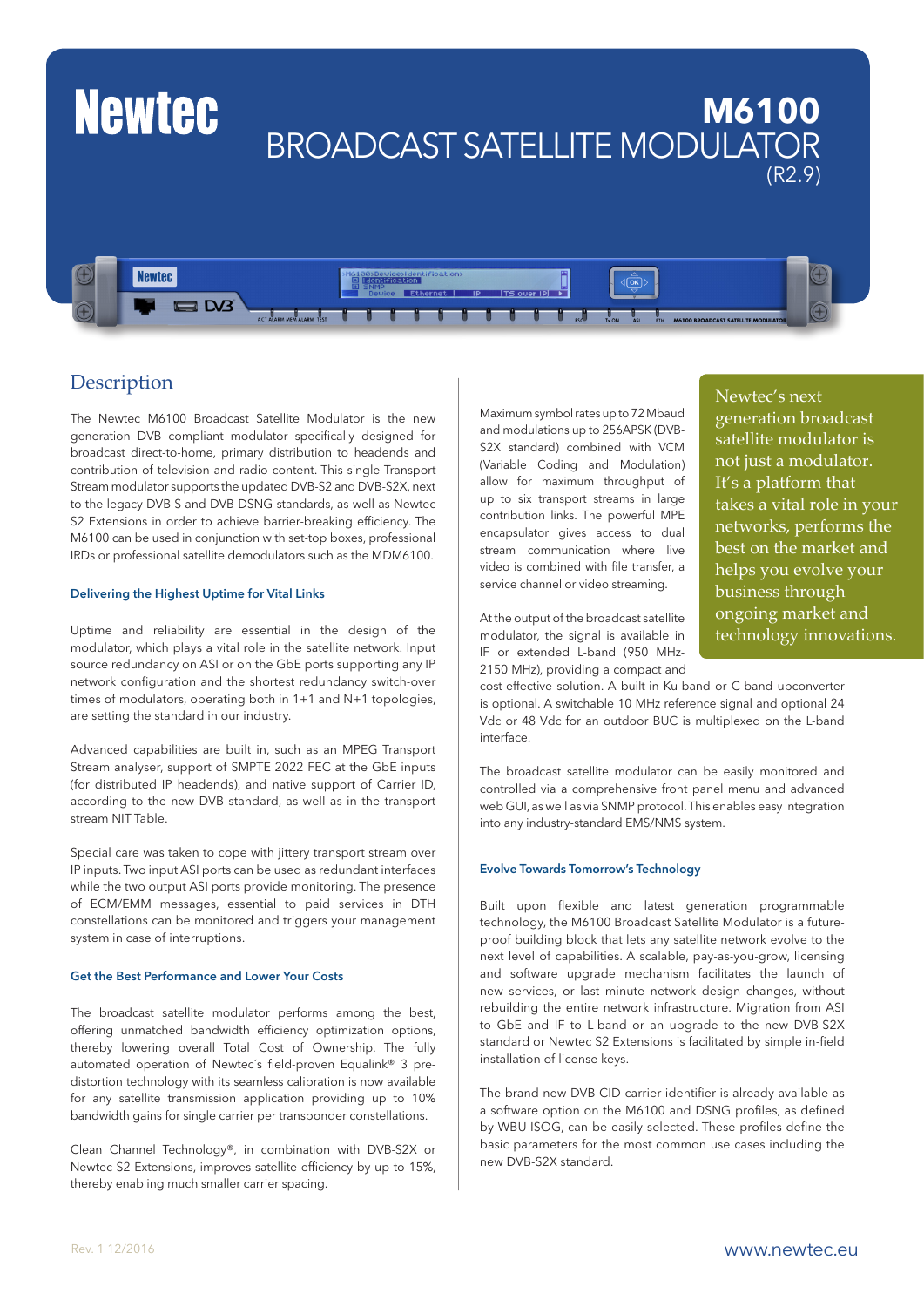

#### **Description**

The Newtec M6100 Broadcast Satellite Modulator is the new generation DVB compliant modulator specifically designed for broadcast direct-to-home, primary distribution to headends and contribution of television and radio content. This single Transport Stream modulator supports the updated DVB-S2 and DVB-S2X, next to the legacy DVB-S and DVB-DSNG standards, as well as Newtec S2 Extensions in order to achieve barrier-breaking efficiency. The M6100 can be used in conjunction with set-top boxes, professional IRDs or professional satellite demodulators such as the MDM6100.

#### Delivering the Highest Uptime for Vital Links

Uptime and reliability are essential in the design of the modulator, which plays a vital role in the satellite network. Input source redundancy on ASI or on the GbE ports supporting any IP network configuration and the shortest redundancy switch-over times of modulators, operating both in 1+1 and N+1 topologies, are setting the standard in our industry.

Advanced capabilities are built in, such as an MPEG Transport Stream analyser, support of SMPTE 2022 FEC at the GbE inputs (for distributed IP headends), and native support of Carrier ID, according to the new DVB standard, as well as in the transport stream NIT Table.

Special care was taken to cope with jittery transport stream over IP inputs. Two input ASI ports can be used as redundant interfaces while the two output ASI ports provide monitoring. The presence of ECM/EMM messages, essential to paid services in DTH constellations can be monitored and triggers your management system in case of interruptions.

#### Get the Best Performance and Lower Your Costs

The broadcast satellite modulator performs among the best, offering unmatched bandwidth efficiency optimization options, thereby lowering overall Total Cost of Ownership. The fully automated operation of Newtec´s field-proven Equalink® 3 predistortion technology with its seamless calibration is now available for any satellite transmission application providing up to 10% bandwidth gains for single carrier per transponder constellations.

Clean Channel Technology®, in combination with DVB-S2X or Newtec S2 Extensions, improves satellite efficiency by up to 15%, thereby enabling much smaller carrier spacing.

Maximum symbol rates up to 72 Mbaud and modulations up to 256APSK (DVB-S2X standard) combined with VCM (Variable Coding and Modulation) allow for maximum throughput of up to six transport streams in large contribution links. The powerful MPE encapsulator gives access to dual stream communication where live video is combined with file transfer, a service channel or video streaming.

At the output of the broadcast satellite modulator, the signal is available in IF or extended L-band (950 MHz-2150 MHz), providing a compact and

cost-effective solution. A built-in Ku-band or C-band upconverter is optional. A switchable 10 MHz reference signal and optional 24 Vdc or 48 Vdc for an outdoor BUC is multiplexed on the L-band interface.

Newtec's next

generation broadcast satellite modulator is not just a modulator. It's a platform that takes a vital role in your networks, performs the best on the market and helps you evolve your business through ongoing market and technology innovations.

The broadcast satellite modulator can be easily monitored and controlled via a comprehensive front panel menu and advanced web GUI, as well as via SNMP protocol. This enables easy integration into any industry-standard EMS/NMS system.

#### Evolve Towards Tomorrow's Technology

Built upon flexible and latest generation programmable technology, the M6100 Broadcast Satellite Modulator is a futureproof building block that lets any satellite network evolve to the next level of capabilities. A scalable, pay-as-you-grow, licensing and software upgrade mechanism facilitates the launch of new services, or last minute network design changes, without rebuilding the entire network infrastructure. Migration from ASI to GbE and IF to L-band or an upgrade to the new DVB-S2X standard or Newtec S2 Extensions is facilitated by simple in-field installation of license keys.

The brand new DVB-CID carrier identifier is already available as a software option on the M6100 and DSNG profiles, as defined by WBU-ISOG, can be easily selected. These profiles define the basic parameters for the most common use cases including the new DVB-S2X standard.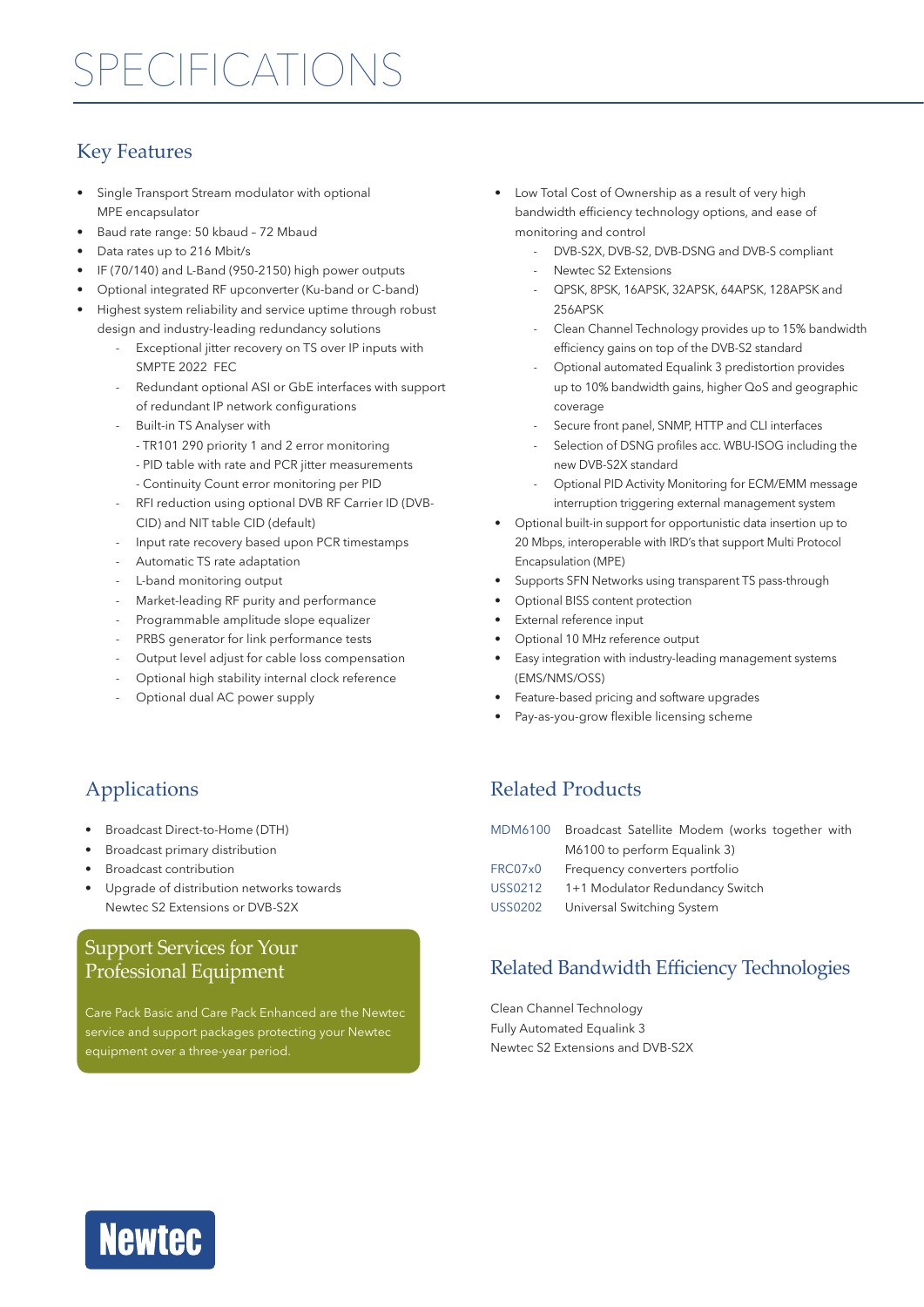### Key Features

- Single Transport Stream modulator with optional MPE encapsulator
- Baud rate range: 50 kbaud 72 Mbaud
- Data rates up to 216 Mbit/s
- IF (70/140) and L-Band (950-2150) high power outputs
- Optional integrated RF upconverter (Ku-band or C-band)
- Highest system reliability and service uptime through robust design and industry-leading redundancy solutions
	- Exceptional jitter recovery on TS over IP inputs with SMPTE 2022 FEC
	- Redundant optional ASI or GbE interfaces with support of redundant IP network configurations
	- Built-in TS Analyser with
		- TR101 290 priority 1 and 2 error monitoring
		- PID table with rate and PCR jitter measurements
		- Continuity Count error monitoring per PID
	- RFI reduction using optional DVB RF Carrier ID (DVB-CID) and NIT table CID (default)
	- Input rate recovery based upon PCR timestamps
	- Automatic TS rate adaptation
	- L-band monitoring output
	- Market-leading RF purity and performance
	- Programmable amplitude slope equalizer
	- PRBS generator for link performance tests
	- Output level adjust for cable loss compensation
	- Optional high stability internal clock reference
	- Optional dual AC power supply
- Low Total Cost of Ownership as a result of very high bandwidth efficiency technology options, and ease of monitoring and control
	- DVB-S2X, DVB-S2, DVB-DSNG and DVB-S compliant
	- Newtec S2 Extensions
	- QPSK, 8PSK, 16APSK, 32APSK, 64APSK, 128APSK and 256APSK
	- Clean Channel Technology provides up to 15% bandwidth efficiency gains on top of the DVB-S2 standard
	- Optional automated Equalink 3 predistortion provides up to 10% bandwidth gains, higher QoS and geographic coverage
	- Secure front panel, SNMP, HTTP and CLI interfaces
	- Selection of DSNG profiles acc. WBU-ISOG including the new DVB-S2X standard
	- Optional PID Activity Monitoring for ECM/EMM message interruption triggering external management system
- Optional built-in support for opportunistic data insertion up to 20 Mbps, interoperable with IRD's that support Multi Protocol Encapsulation (MPE)
- Supports SFN Networks using transparent TS pass-through
- Optional BISS content protection
- External reference input
- Optional 10 MHz reference output
- Easy integration with industry-leading management systems (EMS/NMS/OSS)
- Feature-based pricing and software upgrades
- Pay-as-you-grow flexible licensing scheme

## Applications

- Broadcast Direct-to-Home (DTH)
- Broadcast primary distribution
- Broadcast contribution
- Upgrade of distribution networks towards Newtec S2 Extensions or DVB-S2X

### Support Services for Your Professional Equipment

Care Pack Basic and Care Pack Enhanced are the Newtec service and support packages protecting your Newtec equipment over a three-year period.

### Related Products

|                | MDM6100 Broadcast Satellite Modem (works together with |
|----------------|--------------------------------------------------------|
|                | M6100 to perform Equalink 3)                           |
| FRC07x0        | Frequency converters portfolio                         |
| <b>USS0212</b> | 1+1 Modulator Redundancy Switch                        |
| <b>USS0202</b> | Universal Switching System                             |

### Related Bandwidth Efficiency Technologies

Clean Channel Technology Fully Automated Equalink 3 Newtec S2 Extensions and DVB-S2X

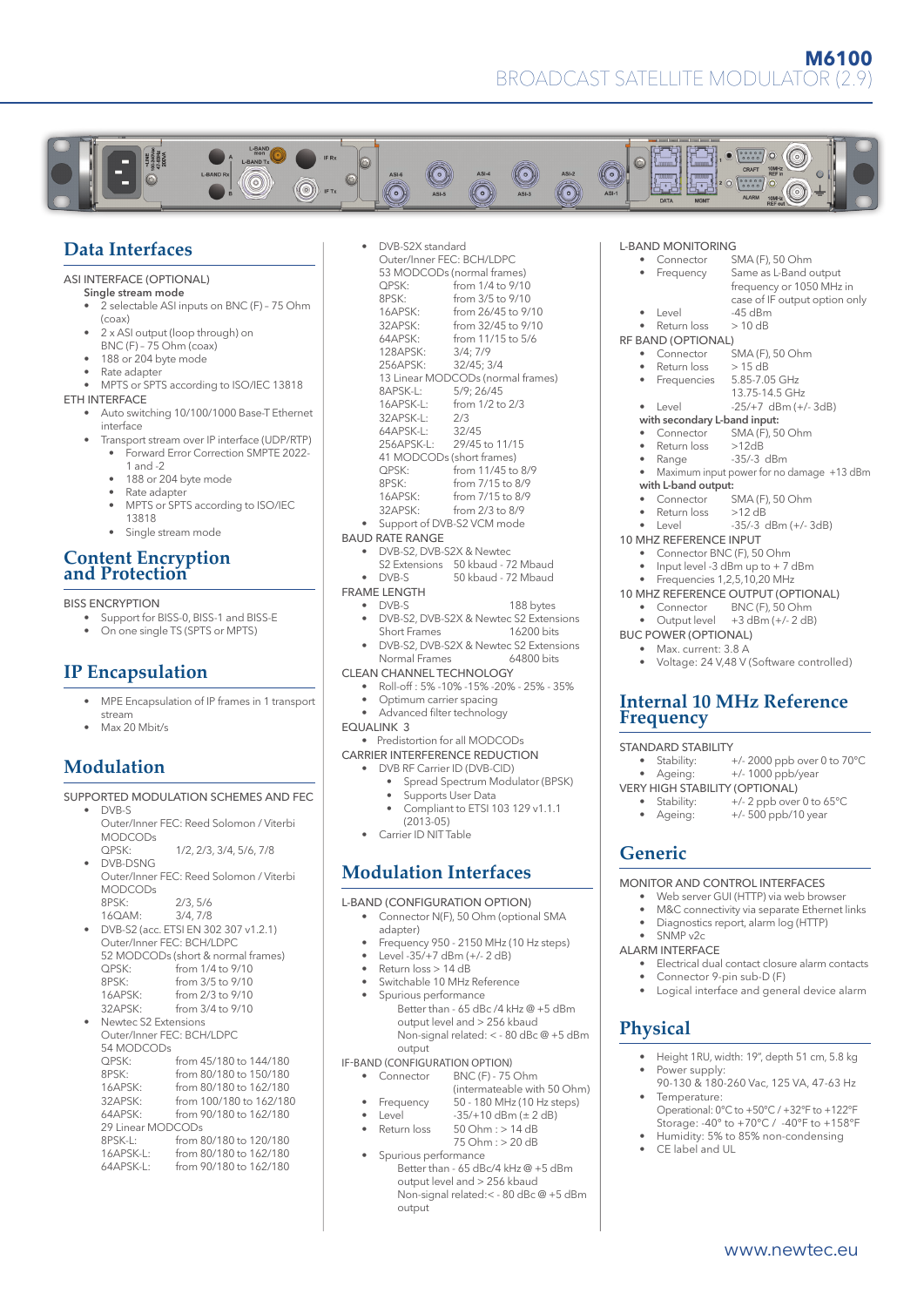

#### **Data Interfaces**

#### ASI INTERFACE (OPTIONAL)

- Single stream mode
- 2 selectable ASI inputs on BNC (F) 75 Ohm (coax)
- 2 x ASI output (loop through) on  $BNC$  (F) – 75 Ohm (coax)
- 188 or 204 byte mode
- Rate adapter
- MPTS or SPTS according to ISO/IEC 13818

#### ETH INTERFACE

- Auto switching 10/100/1000 Base-T Ethernet interface
- Transport stream over IP interface (UDP/RTP) • Forward Error Correction SMPTE 2022-
	- 1 and -2
	- 188 or 204 byte mode
	- Rate adapter
	- MPTS or SPTS according to ISO/IEC
	- 13818 • Single stream mode

#### **Content Encryption and Protection**

#### BISS ENCRYPTION

- Support for BISS-0, BISS-1 and BISS-E
- On one single TS (SPTS or MPTS)

#### **IP Encapsulation**

- MPE Encapsulation of IP frames in 1 transport stream
- Max 20 Mbit/s

### **Modulation**

#### SUPPORTED MODULATION SCHEMES AND FEC

| DVB-S                |                                         |  |  |  |
|----------------------|-----------------------------------------|--|--|--|
|                      | Outer/Inner FEC: Reed Solomon / Viterbi |  |  |  |
| <b>MODCODs</b>       |                                         |  |  |  |
| QPSK:                | 1/2, 2/3, 3/4, 5/6, 7/8                 |  |  |  |
| DVB-DSNG             |                                         |  |  |  |
|                      | Outer/Inner FEC: Reed Solomon / Viterbi |  |  |  |
| <b>MODCODs</b>       |                                         |  |  |  |
| 8PSK:                | 2/3, 5/6                                |  |  |  |
| 16QAM:               | 3/4.7/8                                 |  |  |  |
|                      | DVB-S2 (acc. ETSI EN 302 307 v1.2.1)    |  |  |  |
|                      | Outer/Inner FEC: BCH/LDPC               |  |  |  |
|                      | 52 MODCODs (short & normal frames)      |  |  |  |
| OPSK:                | from 1/4 to 9/10                        |  |  |  |
| 8PSK:                | from 3/5 to 9/10                        |  |  |  |
|                      | 16APSK: from 2/3 to 9/10                |  |  |  |
| 32APSK:              | from 3/4 to 9/10                        |  |  |  |
| Newtec S2 Extensions |                                         |  |  |  |
|                      | Outer/Inner FEC: BCH/LDPC               |  |  |  |
| 54 MODCODs           |                                         |  |  |  |
| QPSK:                | from 45/180 to 144/180                  |  |  |  |
| 8PSK:                | from 80/180 to 150/180                  |  |  |  |
| 16APSK:              | from 80/180 to 162/180                  |  |  |  |
| 32APSK:              | from 100/180 to 162/180                 |  |  |  |
| 64APSK:              | from 90/180 to 162/180                  |  |  |  |
| 29 Linear MODCODs    |                                         |  |  |  |
| 8PSK-L:              | from 80/180 to 120/180                  |  |  |  |
|                      | 16APSK-L: from 80/180 to 162/180        |  |  |  |
| $64APSK-L$           | from 90/180 to 162/180                  |  |  |  |
|                      |                                         |  |  |  |

|                                       | DVB-S2X standard                |                                        |  |  |  |  |
|---------------------------------------|---------------------------------|----------------------------------------|--|--|--|--|
|                                       | Outer/Inner FEC: BCH/LDPC       |                                        |  |  |  |  |
|                                       |                                 | 53 MODCODs (normal frames)             |  |  |  |  |
|                                       | OPSK:                           | from 1/4 to 9/10                       |  |  |  |  |
|                                       | 8PSK:                           | from 3/5 to 9/10                       |  |  |  |  |
|                                       | 16APSK:                         | from 26/45 to 9/10                     |  |  |  |  |
|                                       | 32APSK:                         | from 32/45 to 9/10                     |  |  |  |  |
|                                       | 64APSK:                         | from 11/15 to 5/6                      |  |  |  |  |
|                                       | 128APSK:                        | 3/4; 7/9                               |  |  |  |  |
|                                       | 256APSK:                        | 32/45; 3/4                             |  |  |  |  |
|                                       |                                 | 13 Linear MODCODs (normal frames)      |  |  |  |  |
|                                       | 8APSK-L:                        | 5/9:26/45                              |  |  |  |  |
|                                       | 16APSK-L:                       | from 1/2 to 2/3                        |  |  |  |  |
|                                       | 32APSK-L:                       | 2/3                                    |  |  |  |  |
|                                       | 64APSK-L:                       | 32/45                                  |  |  |  |  |
|                                       |                                 | 256APSK-L: 29/45 to 11/15              |  |  |  |  |
|                                       | 41 MODCODs (short frames)       |                                        |  |  |  |  |
|                                       |                                 | $QPSK:$ from 11/45 to 8/9              |  |  |  |  |
|                                       | 8PSK:                           | from 7/15 to 8/9                       |  |  |  |  |
|                                       |                                 | 16APSK: from 7/15 to 8/9               |  |  |  |  |
|                                       | 32APSK:                         | from 2/3 to 8/9                        |  |  |  |  |
|                                       |                                 | Support of DVB-S2 VCM mode             |  |  |  |  |
|                                       | <b>BAUD RATE RANGE</b>          |                                        |  |  |  |  |
|                                       | DVB-S2, DVB-S2X & Newtec        |                                        |  |  |  |  |
|                                       |                                 | S2 Extensions 50 kbaud - 72 Mbaud      |  |  |  |  |
|                                       | DVB-S                           | 50 kbaud - 72 Mbaud                    |  |  |  |  |
|                                       | <b>FRAME LENGTH</b>             |                                        |  |  |  |  |
| $\bullet$                             | DVB-S                           | 188 bytes                              |  |  |  |  |
|                                       |                                 | DVB-S2, DVB-S2X & Newtec S2 Extensions |  |  |  |  |
|                                       | Short Frames                    | 16200 bits                             |  |  |  |  |
|                                       |                                 | DVB-S2, DVB-S2X & Newtec S2 Extensions |  |  |  |  |
|                                       | Normal Frames                   | 64800 bits                             |  |  |  |  |
|                                       | <b>CLEAN CHANNEL TECHNOLOGY</b> |                                        |  |  |  |  |
|                                       |                                 | Roll-off: 5%-10%-15%-20%-25%-35%       |  |  |  |  |
|                                       | Optimum carrier spacing         |                                        |  |  |  |  |
|                                       | Advanced filter technology      |                                        |  |  |  |  |
| <b>EQUALINK 3</b>                     |                                 |                                        |  |  |  |  |
|                                       | Predistortion for all MODCODs   |                                        |  |  |  |  |
| <b>CARRIER INTERFERENCE REDUCTION</b> |                                 |                                        |  |  |  |  |
|                                       | DVB RF Carrier ID (DVB-CID)     |                                        |  |  |  |  |
|                                       |                                 | Spread Spectrum Modulator (BPSK)       |  |  |  |  |
|                                       |                                 |                                        |  |  |  |  |

- · (BPSK)
- Supports User Data
- Compliant to ETSI 103 129 v1.1.1 (2013-05)
- Carrier ID NIT Table

#### **Modulation Interfaces**

### L-BAND (CONFIGURATION OPTION)

- Connector N(F), 50 Ohm (optional SMA adapter)
- Frequency 950 2150 MHz (10 Hz steps)
- Level -35/+7 dBm (+/- 2 dB)
- Return loss > 14 dB
- Switchable 10 MHz Reference
- Spurious performance Better than - 65 dBc /4 kHz @ +5 dBm output level and > 256 kbaud Non-signal related: < - 80 dBc @ +5 dBm output

## IF-BAND (CONFIGURATION OPTION)<br>Connector BNC (F) - 75

- $BNC(F) 75$  Ohm
	- (intermateable with 50 Ohm)<br>Frequency 50 180 MHz (10 Hz steps)
	- Frequency  $50 180$  MHz (10 Hz steps)<br>Level  $-35/10$  dBm ( $\pm 2$  dB)
	- Level  $-35/+10$  dBm ( $\pm 2$  dB)<br>Return loss  $50$  Ohm :  $> 14$  dB  $50$  Ohm :  $> 14$  dB
	- 75 Ohm : > 20 dB
- Spurious performance Better than - 65 dBc/4 kHz @ +5 dBm output level and > 256 kbaud Non-signal related:< - 80 dBc @ +5 dBm output

### L-BAND MONITORING<br>Connector S

- SMA (F), 50 Ohm • Frequency Same as L-Band output frequency or 1050 MHz in case of IF output option only<br>-45 dBm • Level • Return loss > 10 dB RF BAND (OPTIONAL)<br>Connector -,<br>SMA (F), 50 Ohm<br>> 15 dB  $\frac{\text{Return loss}}{\text{Frequency}}$  > 15 dB<br>Frequencies 5.85-7.05 GHz Frequencies 13.75-14.5 GHz • Level -25/+7 dBm (+/- 3dB) with secondary L-band input:<br>• Connector SMA(F) 50 • Connector SMA (F), 50 Ohm Return loss >12dB
	-
	- Range -35/-3 dBm
	- Maximum input power for no damage +13 dBm with L-band output:
	-
	- Connector  $SMA (F)$ , 50 Ohm<br>• Return loss  $>12$  dB Return loss
	- Level -35/-3 dBm (+/- 3dB)
- 10 MHZ REFERENCE INPUT
	- Connector BNC (F), 50 Ohm
	- Input level -3 dBm up to + 7 dBm
	- Frequencies 1,2,5,10,20 MHz
- 10 MHZ REFERENCE OUTPUT (OPTIONAL)<br>
Connector BNC (F) 50 Ohm
	- Connector BNC (F), 50 Ohm  $+3$  dBm (+/- 2 dB)
- 
- BUC POWER (OPTIONAL) • Max. current: 3.8 A
	- Voltage: 24 V,48 V (Software controlled)

#### **Internal 10 MHz Reference Frequency**

#### STANDARD STABILITY

- Stability: +/-2000 ppb over 0 to 70°C<br>• Ageing: +/-1000 ppb/year +/- 1000 ppb/year
- VERY HIGH STABILITY (OPTIONAL)<br>• Stability: +/-2 ppb over • Stability:  $+/-2$  ppb over 0 to 65°C<br>• Ageing:  $+/-500$  ppb/10 year
	- +/- 500 ppb/10 year

### **Generic**

#### MONITOR AND CONTROL INTERFACES

- Web server GUI (HTTP) via web browser
- M&C connectivity via separate Ethernet links
- Diagnostics report, alarm log (HTTP)
- SNMP v2c
- ALARM INTERFACE
	- Electrical dual contact closure alarm contacts
	- Connector 9-pin sub-D (F)
	- Logical interface and general device alarm

#### **Physical**

- Height 1RU, width: 19", depth 51 cm, 5.8 kg
- Power supply: 90-130 & 180-260 Vac, 125 VA, 47-63 Hz • Temperature:
- Operational: 0°C to +50°C / +32°F to +122°F Storage: -40° to +70°C / -40°F to +158°F
- Humidity: 5% to 85% non-condensing • CE label and UL
	- www.newtec.eu